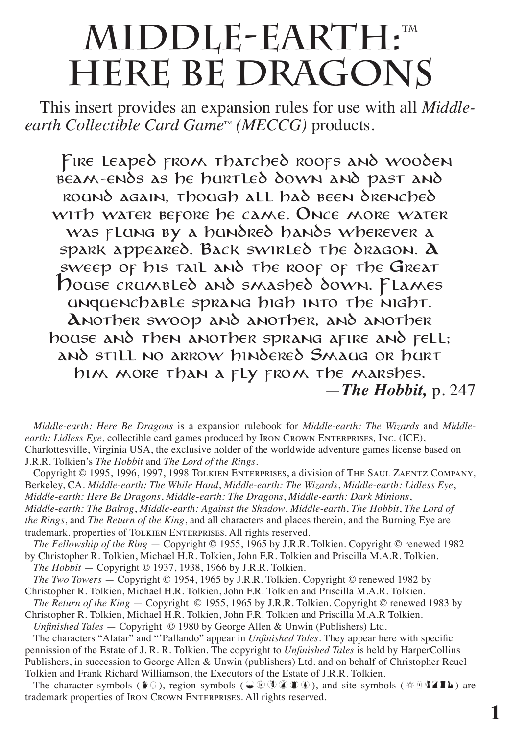# **MIDDLE-EARTH:**" **HERE BE DRAGONS**

This insert provides an expansion rules for use with all *Middle* $earth$  *Collectible Card Game*<sup>16</sup> (*MECCG*) products.

Fire leaped from thatched roofs and wooden beam-ends as he hurtled down and past and round again, though all had been drenched WITH WATER BEFORE HE CAME. ONCE MORE WATER was *El ung by a hundred hands* wherever a spark appeared. Back swirled the dragon. A sweep of his tail and the roof of the Great House crumbled and smashed down. Flames  $\mu$ unduenchable sprang high into the night. Another swoop and another, and another house and then another sprang afire and fell; and still no arrow hindered Smaug or hurt him more than a fly from the marshes. —*The Hobbit,* p. 247

*Middle-earth: Here Be Dragons* is a expansion rulebook for *Middle-earth: The Wizards* and *Middleearth: Lidless Eye,* collectible card games produced by Iron Crown Enterprises, Inc. (ICE), Charlottesville, Virginia USA, the exclusive holder of the worldwide adventure games license based on J.R.R. Tolkien's *The Hobbit* and *The Lord of the Rings.*

Copyright © 1995, 1996, 1997, 1998 Tolkien Enterprises, a division of The Saul Zaentz Company*,* Berkeley, CA. *Middle-earth: The While Hand*, *Middle-earth: The Wizards*, *Middle-earth: Lidless Eye*,

*Middle-earth: Here Be Dragons*, *Middle-earth: The Dragons*, *Middle-earth: Dark Minions*,

*Middle-earth: The Balrog*, *Middle-earth: Against the Shadow*, *Middle-earth*, *The Hobbit*, *The Lord of the Rings*, and *The Return of the King*, and all characters and places therein, and the Burning Eye are trademark. properties of TOLKIEN ENTERPRISES. All rights reserved.

*The Fellowship of the Ring* — Copyright © 1955, 1965 by J.R.R. Tolkien. Copyright © renewed 1982 by Christopher R. Tolkien, Michael H.R. Tolkien, John F.R. Tolkien and Priscilla M.A.R. Tolkien.

*The Hobbit* — Copyright © 1937, 1938, 1966 by J.R.R. Tolkien.

*The Two Towers* — Copyright © 1954, 1965 by J.R.R. Tolkien. Copyright © renewed 1982 by Christopher R. Tolkien, Michael H.R. Tolkien, John F.R. Tolkien and Priscilla M.A.R. Tolkien.

*The Return of the King* — Copyright © 1955, 1965 by J.R.R. Tolkien. Copyright © renewed 1983 by Christopher R. Tolkien, Michael H.R. Tolkien, John F.R. Tolkien and Priscilla M.A.R Tolkien.

*Unfinished Tales* — Copyright © 1980 by George Allen & Unwin (Publishers) Ltd.

The characters "Alatar" and "'Pallando" appear in *Unfinished Tales*. They appear here with specific pennission of the Estate of J. R. R. Tolkien. The copyright to *Unfinished Tales* is held by HarperCollins Publishers, in succession to George Allen & Unwin (publishers) Ltd. and on behalf of Christopher Reuel Tolkien and Frank Richard Williamson, the Executors of the Estate of J.R.R. Tolkien.

The character symbols ( $\mathbf{F}$ ), region symbols ( $\mathbf{C} \otimes \mathbf{C} \otimes \mathbf{F}$ ), and site symbols ( $\otimes$   $\mathbf{H}$ **EL)** are trademark properties of Iron Crown Enterprises. All rights reserved.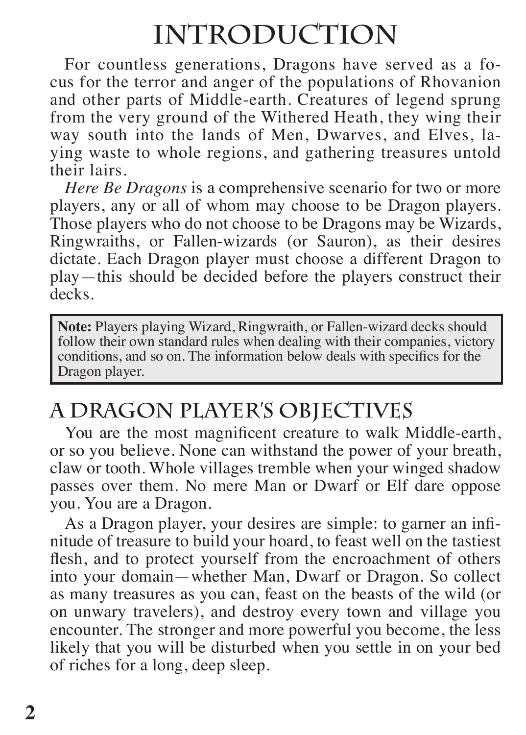## **INTRODUCTION**

For countless generations, Dragons have served as a focus for the terror and anger of the populations of Rhovanion and other parts of Middle-earth. Creatures of legend sprung from the very ground of the Withered Heath, they wing their way south into the lands of Men, Dwarves, and Elves, laying waste to whole regions, and gathering treasures untold their lairs.

*Here Be Dragons* is a comprehensive scenario for two or more players, any or all of whom may choose to be Dragon players. Those players who do not choose to be Dragons may be Wizards, Ringwraiths, or Fallen-wizards (or Sauron), as their desires dictate. Each Dragon player must choose a different Dragon to play—this should be decided before the players construct their decks.

**Note:** Players playing Wizard, Ringwraith, or Fallen-wizard decks should follow their own standard rules when dealing with their companies, victory conditions, and so on. The information below deals with specifics for the Dragon player.

## **A DRAGON PLAYER'S OBJECTIVES**

You are the most magnificent creature to walk Middle-earth, or so you believe. None can withstand the power of your breath, claw or tooth. Whole villages tremble when your winged shadow passes over them. No mere Man or Dwarf or Elf dare oppose you. You are a Dragon.

As a Dragon player, your desires are simple: to garner an infinitude of treasure to build your hoard, to feast well on the tastiest flesh, and to protect yourself from the encroachment of others into your domain—whether Man, Dwarf or Dragon. So collect as many treasures as you can, feast on the beasts of the wild (or on unwary travelers), and destroy every town and village you encounter. The stronger and more powerful you become, the less likely that you will be disturbed when you settle in on your bed of riches for a long, deep sleep.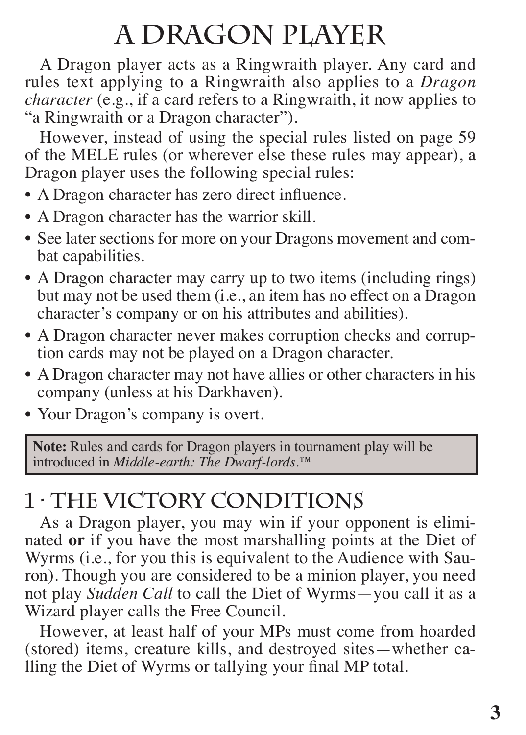# **A DRAGON PLAYER**

A Dragon player acts as a Ringwraith player. Any card and rules text applying to a Ringwraith also applies to a *Dragon character* (e.g., if a card refers to a Ringwraith, it now applies to "a Ringwraith or a Dragon character").

However, instead of using the special rules listed on page 59 of the MELE rules (or wherever else these rules may appear), a Dragon player uses the following special rules:

- A Dragon character has zero direct influence.
- A Dragon character has the warrior skill.
- See later sections for more on your Dragons movement and combat capabilities.
- A Dragon character may carry up to two items (including rings) but may not be used them (i.e., an item has no effect on a Dragon character's company or on his attributes and abilities).
- A Dragon character never makes corruption checks and corruption cards may not be played on a Dragon character.
- A Dragon character may not have allies or other characters in his company (unless at his Darkhaven).
- Your Dragon's company is overt.

**Note:** Rules and cards for Dragon players in tournament play will be introduced in *Middle-earth: The Dwarf-lords*.™

## **1 · THE VICTORY CONDITIONS**

As a Dragon player, you may win if your opponent is eliminated **or** if you have the most marshalling points at the Diet of Wyrms (i.e., for you this is equivalent to the Audience with Sauron). Though you are considered to be a minion player, you need not play *Sudden Call* to call the Diet of Wyrms—you call it as a Wizard player calls the Free Council.

However, at least half of your MPs must come from hoarded (stored) items, creature kills, and destroyed sites—whether calling the Diet of Wyrms or tallying your final MP total.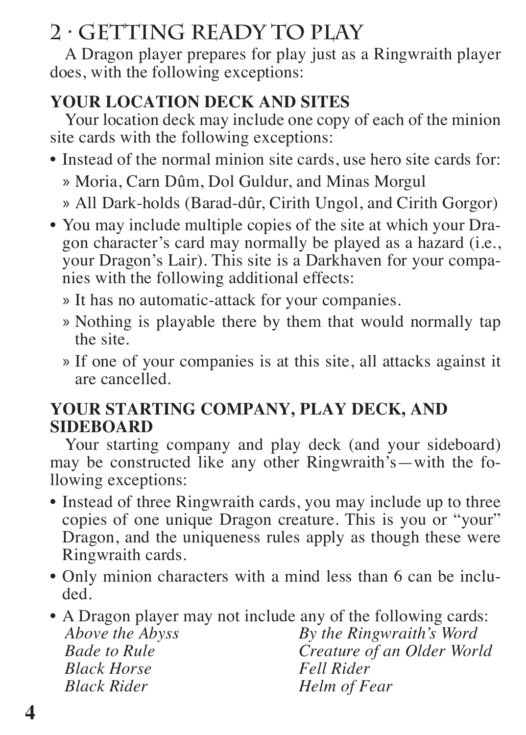## **2 · GETTING READY TO PLAY**

A Dragon player prepares for play just as a Ringwraith player does, with the following exceptions:

#### **YOUR LOCATION DECK AND SITES**

Your location deck may include one copy of each of the minion site cards with the following exceptions:

• Instead of the normal minion site cards, use hero site cards for:

» Moria, Carn Dûm, Dol Guldur, and Minas Morgul

- » All Dark-holds (Barad-dûr, Cirith Ungol, and Cirith Gorgor)
- You may include multiple copies of the site at which your Dragon character's card may normally be played as a hazard (i.e., your Dragon's Lair). This site is a Darkhaven for your companies with the following additional effects:
	- » It has no automatic-attack for your companies.
	- » Nothing is playable there by them that would normally tap the site.
	- » If one of your companies is at this site, all attacks against it are cancelled.

#### **YOUR STARTING COMPANY, PLAY DECK, AND SIDEBOARD**

Your starting company and play deck (and your sideboard) may be constructed like any other Ringwraith's—with the following exceptions:

- Instead of three Ringwraith cards, you may include up to three copies of one unique Dragon creature. This is you or "your" Dragon, and the uniqueness rules apply as though these were Ringwraith cards.
- Only minion characters with a mind less than 6 can be included.
- A Dragon player may not include any of the following cards: *Above the Abyss Bade to Rule Black Horse Black Rider By the Ringwraith's Word Creature of an Older World Fell Rider Helm of Fear*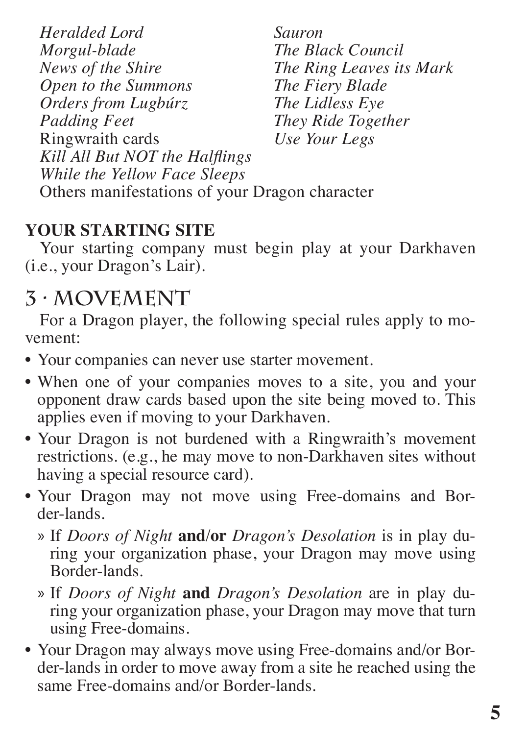*Heralded Lord Morgul-blade News of the Shire Open to the Summons Orders from Lugbúrz Padding Feet* Ringwraith cards *Sauron The Black Council The Ring Leaves its Mark The Fiery Blade The Lidless Eye They Ride Together Use Your Legs Kill All But NOT the Halflings While the Yellow Face Sleeps* Others manifestations of your Dragon character

### **YOUR STARTING SITE**

Your starting company must begin play at your Darkhaven (i.e., your Dragon's Lair).

## **3 · MOVEMENT**

For a Dragon player, the following special rules apply to movement:

- Your companies can never use starter movement.
- When one of your companies moves to a site, you and your opponent draw cards based upon the site being moved to. This applies even if moving to your Darkhaven.
- Your Dragon is not burdened with a Ringwraith's movement restrictions. (e.g., he may move to non-Darkhaven sites without having a special resource card).
- Your Dragon may not move using Free-domains and Border-lands.
	- » If *Doors of Night* **and**/**or** *Dragon's Desolation* is in play during your organization phase, your Dragon may move using Border-lands.
	- » If *Doors of Night* **and** *Dragon's Desolation* are in play during your organization phase, your Dragon may move that turn using Free-domains.
- Your Dragon may always move using Free-domains and/or Border-lands in order to move away from a site he reached using the same Free-domains and/or Border-lands.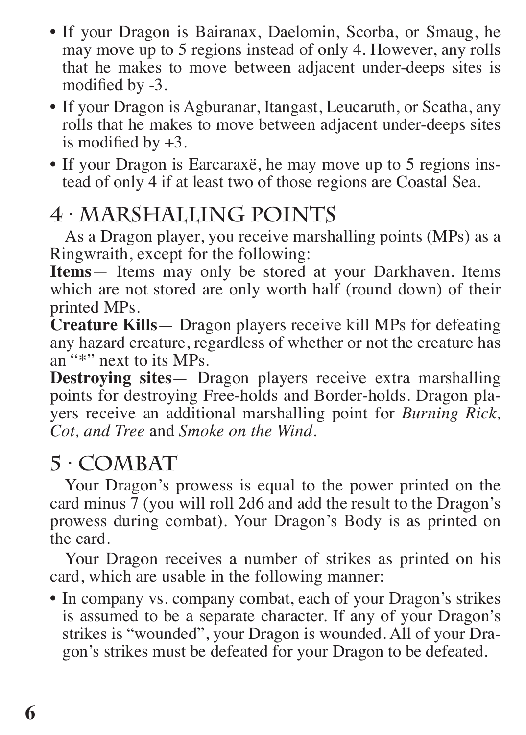- If your Dragon is Bairanax, Daelomin, Scorba, or Smaug, he may move up to 5 regions instead of only 4. However, any rolls that he makes to move between adjacent under-deeps sites is modified by -3.
- If your Dragon is Agburanar, Itangast, Leucaruth, or Scatha, any rolls that he makes to move between adjacent under-deeps sites is modified by  $+3$ .
- If your Dragon is Earcaraxë, he may move up to 5 regions instead of only 4 if at least two of those regions are Coastal Sea.

## **4 · MARSHALLING POINTS**

As a Dragon player, you receive marshalling points (MPs) as a Ringwraith, except for the following:

**Items**— Items may only be stored at your Darkhaven. Items which are not stored are only worth half (round down) of their printed MPs.

**Creature Kills**— Dragon players receive kill MPs for defeating any hazard creature, regardless of whether or not the creature has an "\*" next to its MPs.

**Destroying sites**— Dragon players receive extra marshalling points for destroying Free-holds and Border-holds. Dragon players receive an additional marshalling point for *Burning Rick, Cot, and Tree* and *Smoke on the Wind*.

### **5 · COMBAT**

Your Dragon's prowess is equal to the power printed on the card minus  $\frac{3}{7}$  (you will roll 2d6 and add the result to the Dragon's prowess during combat). Your Dragon's Body is as printed on the card.

Your Dragon receives a number of strikes as printed on his card, which are usable in the following manner:

• In company vs. company combat, each of your Dragon's strikes is assumed to be a separate character. If any of your Dragon's strikes is "wounded", your Dragon is wounded. All of your Dragon's strikes must be defeated for your Dragon to be defeated.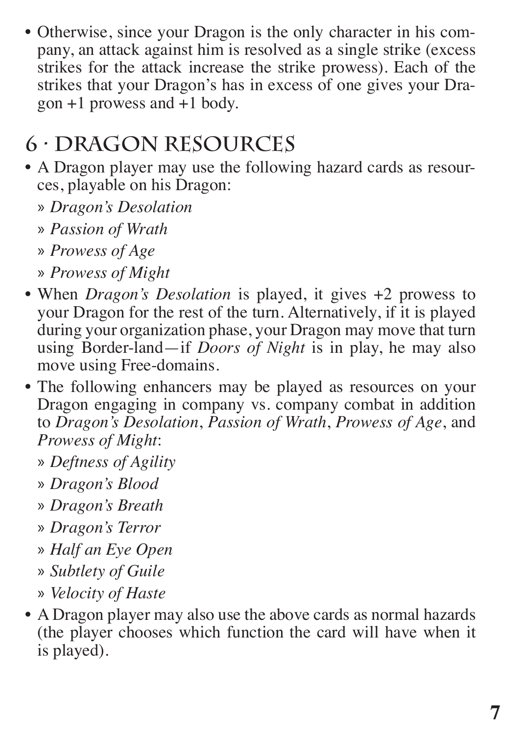• Otherwise, since your Dragon is the only character in his company, an attack against him is resolved as a single strike (excess strikes for the attack increase the strike prowess). Each of the strikes that your Dragon's has in excess of one gives your Dra $gon +1$  prowess and  $+1$  body.

## **6 · DRAGON RESOURCES**

- A Dragon player may use the following hazard cards as resources, playable on his Dragon:
	- » *Dragon's Desolation*
	- » *Passion of Wrath*
	- » *Prowess of Age*
	- » *Prowess of Might*
- When *Dragon's Desolation* is played, it gives +2 prowess to your Dragon for the rest of the turn. Alternatively, if it is played during your organization phase, your Dragon may move that turn using Border-land—if *Doors of Night* is in play, he may also move using Free-domains.
- The following enhancers may be played as resources on your Dragon engaging in company vs. company combat in addition to *Dragon's Desolation*, *Passion of Wrath*, *Prowess of Age*, and *Prowess of Might*:
	- » *Deftness of Agility*
	- » *Dragon's Blood*
	- » *Dragon's Breath*
	- » *Dragon's Terror*
	- » *Half an Eye Open*
	- » *Subtlety of Guile*
	- » *Velocity of Haste*
- A Dragon player may also use the above cards as normal hazards (the player chooses which function the card will have when it is played).